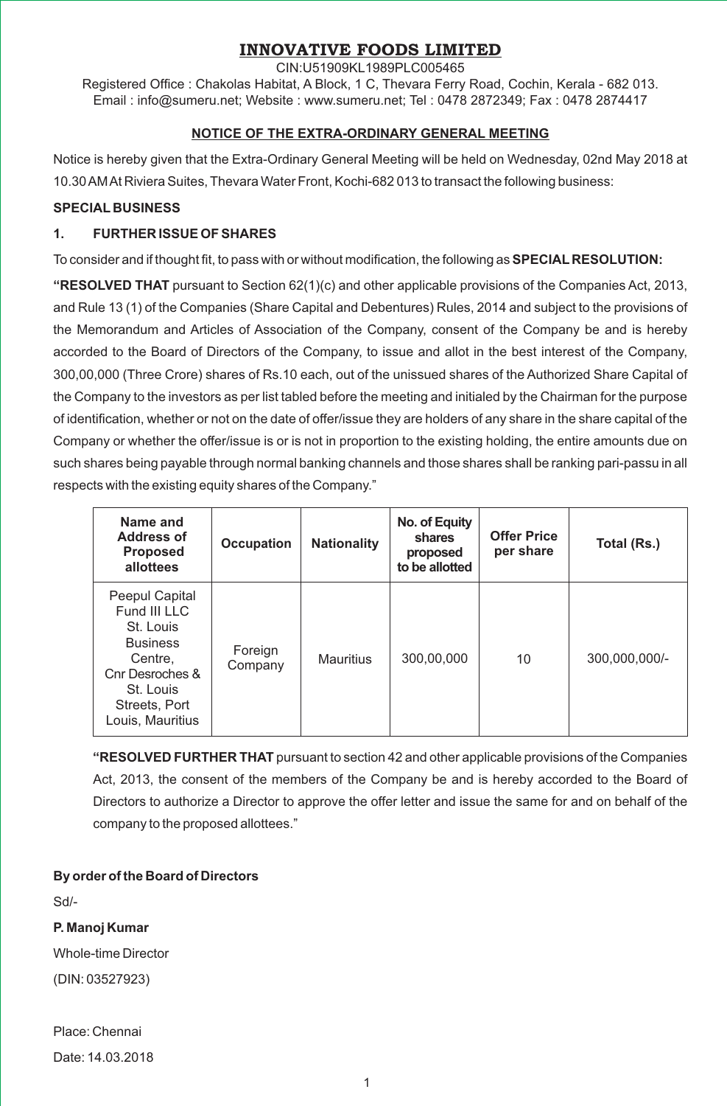# **INNOVATIVE FOODS LIMITED**

CIN:U51909KL1989PLC005465

Registered Office : Chakolas Habitat, A Block, 1 C, Thevara Ferry Road, Cochin, Kerala - 682 013. Email : info@sumeru.net; Website : www.sumeru.net; Tel : 0478 2872349; Fax : 0478 2874417

#### **NOTICE OF THE EXTRA-ORDINARY GENERAL MEETING**

Notice is hereby given that the Extra-Ordinary General Meeting will be held on Wednesday, 02nd May 2018 at 10.30 AM At Riviera Suites, Thevara Water Front, Kochi-682 013 to transact the following business:

#### **SPECIAL BUSINESS**

### **1. FURTHER ISSUE OF SHARES**

To consider and if thought fit, to pass with or without modification, the following as **SPECIAL RESOLUTION:** 

**"RESOLVED THAT** pursuant to Section 62(1)(c) and other applicable provisions of the Companies Act, 2013, and Rule 13 (1) of the Companies (Share Capital and Debentures) Rules, 2014 and subject to the provisions of the Memorandum and Articles of Association of the Company, consent of the Company be and is hereby accorded to the Board of Directors of the Company, to issue and allot in the best interest of the Company, 300,00,000 (Three Crore) shares of Rs.10 each, out of the unissued shares of the Authorized Share Capital of the Company to the investors as per list tabled before the meeting and initialed by the Chairman for the purpose of identification, whether or not on the date of offer/issue they are holders of any share in the share capital of the Company or whether the offer/issue is or is not in proportion to the existing holding, the entire amounts due on such shares being payable through normal banking channels and those shares shall be ranking pari-passu in all respects with the existing equity shares of the Company."

| Name and<br>Address of<br>Proposed<br>allottees                                                                                                | <b>Occupation</b>  | <b>Nationality</b> | No. of Equity<br>shares<br>proposed<br>to be allotted | <b>Offer Price</b><br>per share | Total (Rs.)   |
|------------------------------------------------------------------------------------------------------------------------------------------------|--------------------|--------------------|-------------------------------------------------------|---------------------------------|---------------|
| Peepul Capital<br>Fund III LLC<br>St. Louis<br><b>Business</b><br>Centre,<br>Cnr Desroches &<br>St. Louis<br>Streets, Port<br>Louis, Mauritius | Foreign<br>Company | Mauritius          | 300,00,000                                            | 10                              | 300,000,000/- |

**"RESOLVED FURTHER THAT** pursuant to section 42 and other applicable provisions of the Companies Act, 2013, the consent of the members of the Company be and is hereby accorded to the Board of Directors to authorize a Director to approve the offer letter and issue the same for and on behalf of the company to the proposed allottees."

## **By order of the Board of Directors**

Sd/-

## **P. Manoj Kumar**

Whole-time Director

(DIN: 03527923)

Place: Chennai

Date: 14.03.2018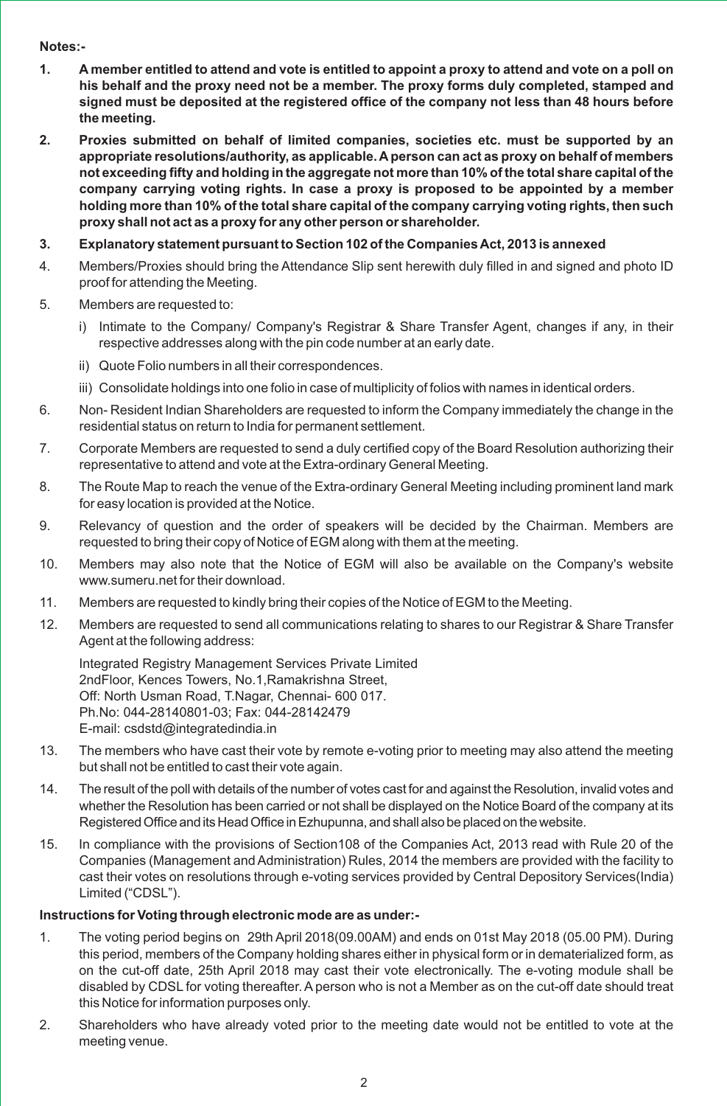#### **Notes:-**

- **1. A member entitled to attend and vote is entitled to appoint a proxy to attend and vote on a poll on his behalf and the proxy need not be a member. The proxy forms duly completed, stamped and signed must be deposited at the registered office of the company not less than 48 hours before the meeting.**
- **2. Proxies submitted on behalf of limited companies, societies etc. must be supported by an appropriate resolutions/authority, as applicable. A person can act as proxy on behalf of members not exceeding fifty and holding in the aggregate not more than 10% of the total share capital of the company carrying voting rights. In case a proxy is proposed to be appointed by a member holding more than 10% of the total share capital of the company carrying voting rights, then such proxy shall not act as a proxy for any other person or shareholder.**
- **3. Explanatory statement pursuant to Section 102 of the Companies Act, 2013 is annexed**
- 4. Members/Proxies should bring the Attendance Slip sent herewith duly filled in and signed and photo ID proof for attending the Meeting.
- 5. Members are requested to:
	- i) Intimate to the Company/ Company's Registrar & Share Transfer Agent, changes if any, in their respective addresses along with the pin code number at an early date.
	- ii) Quote Folio numbers in all their correspondences.
	- iii) Consolidate holdings into one folio in case of multiplicity of folios with names in identical orders.
- 6. Non- Resident Indian Shareholders are requested to inform the Company immediately the change in the residential status on return to India for permanent settlement.
- 7. Corporate Members are requested to send a duly certified copy of the Board Resolution authorizing their representative to attend and vote at the Extra-ordinary General Meeting.
- 8. The Route Map to reach the venue of the Extra-ordinary General Meeting including prominent land mark for easy location is provided at the Notice.
- 9. Relevancy of question and the order of speakers will be decided by the Chairman. Members are requested to bring their copy of Notice of EGM along with them at the meeting.
- 10. Members may also note that the Notice of EGM will also be available on the Company's website www.sumeru.net for their download.
- 11. Members are requested to kindly bring their copies of the Notice of EGM to the Meeting.
- 12. Members are requested to send all communications relating to shares to our Registrar & Share Transfer Agent at the following address:

Integrated Registry Management Services Private Limited 2ndFloor, Kences Towers, No.1,Ramakrishna Street, Off: North Usman Road, T.Nagar, Chennai- 600 017. Ph.No: 044-28140801-03; Fax: 044-28142479 E-mail: csdstd@integratedindia.in

- 13. The members who have cast their vote by remote e-voting prior to meeting may also attend the meeting but shall not be entitled to cast their vote again.
- 14. The result of the poll with details of the number of votes cast for and against the Resolution, invalid votes and whether the Resolution has been carried or not shall be displayed on the Notice Board of the company at its Registered Office and its Head Office in Ezhupunna, and shall also be placed on the website.
- 15. In compliance with the provisions of Section108 of the Companies Act, 2013 read with Rule 20 of the Companies (Management and Administration) Rules, 2014 the members are provided with the facility to cast their votes on resolutions through e-voting services provided by Central Depository Services(India) Limited ("CDSL").

#### **Instructions for Voting through electronic mode are as under:-**

- 1. The voting period begins on 29th April 2018(09.00AM) and ends on 01st May 2018 (05.00 PM). During this period, members of the Company holding shares either in physical form or in dematerialized form, as on the cut-off date, 25th April 2018 may cast their vote electronically. The e-voting module shall be disabled by CDSL for voting thereafter. Aperson who is not a Member as on the cut-off date should treat this Notice for information purposes only.
- 2. Shareholders who have already voted prior to the meeting date would not be entitled to vote at the meeting venue.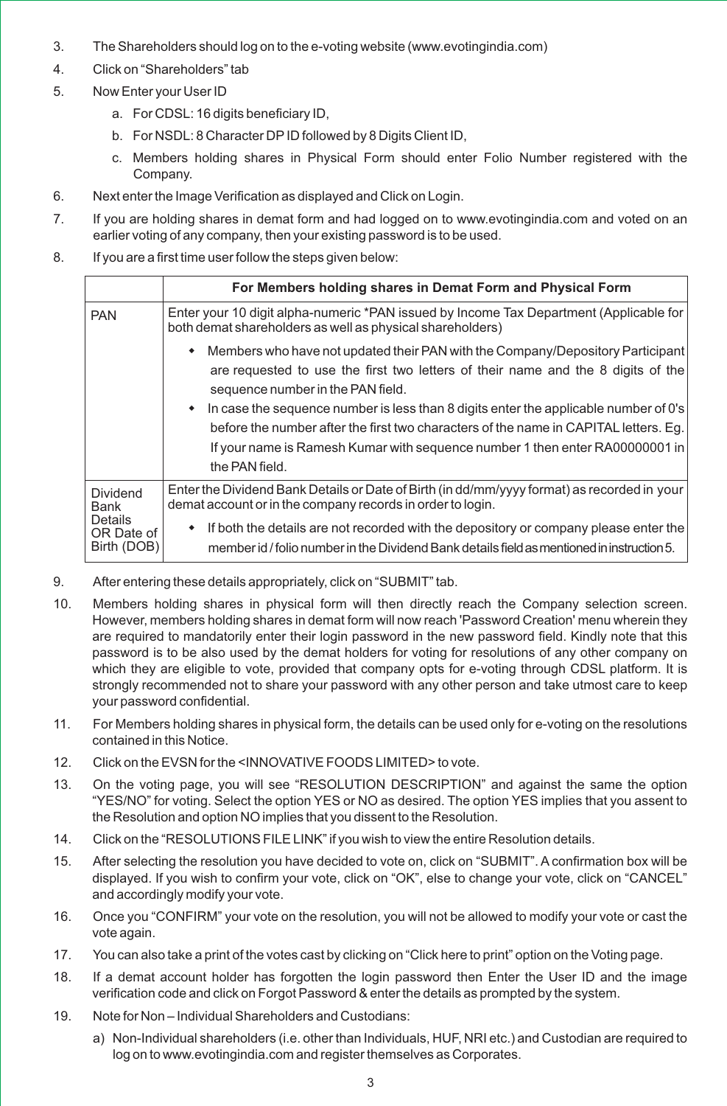- 3. The Shareholders should log on to the e-voting website (www.evotingindia.com)
- 4. Click on "Shareholders" tab
- 5. Now Enter your User ID
	- a. For CDSL: 16 digits beneficiary ID,
	- b. For NSDL: 8 Character DPID followed by 8 Digits Client ID,
	- c. Members holding shares in Physical Form should enter Folio Number registered with the Company.
- 6. Next enter the Image Verification as displayed and Click on Login.
- 7. If you are holding shares in demat form and had logged on to www.evotingindia.com and voted on an earlier voting of any company, then your existing password is to be used.
- 8. If you are a first time user follow the steps given below:

|                                             | For Members holding shares in Demat Form and Physical Form                                                                                                                                                                                                                                                                                                                                                                                                                                            |
|---------------------------------------------|-------------------------------------------------------------------------------------------------------------------------------------------------------------------------------------------------------------------------------------------------------------------------------------------------------------------------------------------------------------------------------------------------------------------------------------------------------------------------------------------------------|
| <b>PAN</b>                                  | Enter your 10 digit alpha-numeric *PAN issued by Income Tax Department (Applicable for<br>both demat shareholders as well as physical shareholders)                                                                                                                                                                                                                                                                                                                                                   |
|                                             | • Members who have not updated their PAN with the Company/Depository Participant<br>are requested to use the first two letters of their name and the 8 digits of the<br>sequence number in the PAN field.<br>$\bullet$ In case the sequence number is less than 8 digits enter the applicable number of 0's<br>before the number after the first two characters of the name in CAPITAL letters. Eg.<br>If your name is Ramesh Kumar with sequence number 1 then enter RA00000001 in<br>the PAN field. |
| Dividend<br>Bank                            | Enter the Dividend Bank Details or Date of Birth (in dd/mm/yyyy format) as recorded in your<br>demat account or in the company records in order to login.                                                                                                                                                                                                                                                                                                                                             |
| <b>Details</b><br>OR Date of<br>Birth (DOB) | • If both the details are not recorded with the depository or company please enter the<br>member id / folio number in the Dividend Bank details field as mentioned in instruction 5.                                                                                                                                                                                                                                                                                                                  |

- 9. After entering these details appropriately, click on "SUBMIT" tab.
- 10. Members holding shares in physical form will then directly reach the Company selection screen. However, members holding shares in demat form will now reach 'Password Creation' menu wherein they are required to mandatorily enter their login password in the new password field. Kindly note that this password is to be also used by the demat holders for voting for resolutions of any other company on which they are eligible to vote, provided that company opts for e-voting through CDSL platform. It is strongly recommended not to share your password with any other person and take utmost care to keep your password confidential.
- 11. For Members holding shares in physical form, the details can be used only for e-voting on the resolutions contained in this Notice.
- 12. Click on the EVSN for the <INNOVATIVE FOODS LIMITED> to vote.
- 13. On the voting page, you will see "RESOLUTION DESCRIPTION" and against the same the option "YES/NO" for voting. Select the option YES or NO as desired. The option YES implies that you assent to the Resolution and option NO implies that you dissent to the Resolution.
- 14. Click on the "RESOLUTIONS FILE LINK" if you wish to view the entire Resolution details.
- 15. After selecting the resolution you have decided to vote on, click on "SUBMIT". A confirmation box will be displayed. If you wish to confirm your vote, click on "OK", else to change your vote, click on "CANCEL" and accordingly modify your vote.
- 16. Once you "CONFIRM" your vote on the resolution, you will not be allowed to modify your vote or cast the vote again.
- 17. You can also take a print of the votes cast by clicking on "Click here to print" option on the Voting page.
- 18. If a demat account holder has forgotten the login password then Enter the User ID and the image verification code and click on Forgot Password & enter the details as prompted by the system.
- 19. Note for Non Individual Shareholders and Custodians:
	- a) Non-Individual shareholders (i.e. other than Individuals, HUF, NRI etc.) and Custodian are required to log on to www.evotingindia.com and register themselves as Corporates.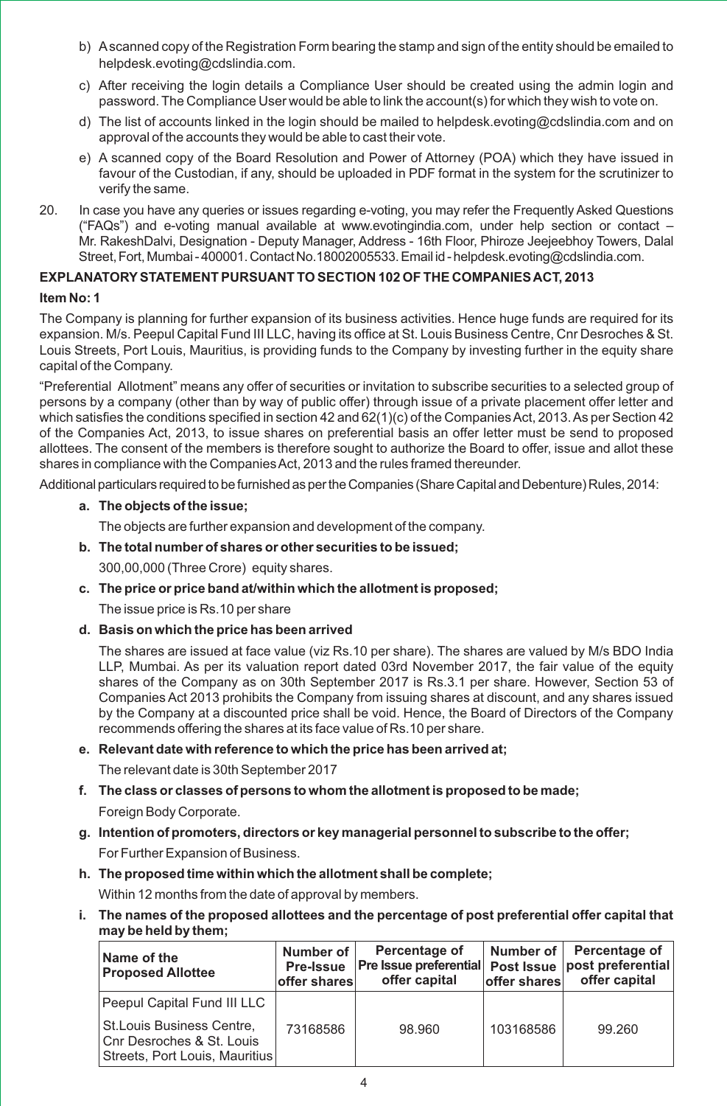- b) Ascanned copy of the Registration Form bearing the stamp and sign of the entity should be emailed to helpdesk.evoting@cdslindia.com.
- c) After receiving the login details a Compliance User should be created using the admin login and password. The Compliance User would be able to link the account(s) for which they wish to vote on.
- d) The list of accounts linked in the login should be mailed to helpdesk.evoting@cdslindia.com and on approval of the accounts they would be able to cast their vote.
- e) A scanned copy of the Board Resolution and Power of Attorney (POA) which they have issued in favour of the Custodian, if any, should be uploaded in PDF format in the system for the scrutinizer to verify the same.
- 20. In case you have any queries or issues regarding e-voting, you may refer the Frequently Asked Questions ("FAQs") and e-voting manual available at www.evotingindia.com, under help section or contact – Mr. RakeshDalvi, Designation - Deputy Manager, Address - 16th Floor, Phiroze Jeejeebhoy Towers, Dalal Street, Fort, Mumbai-400001. Contact No.18002005533. Email id-helpdesk.evoting@cdslindia.com.

#### **EXPLANATORYSTATEMENT PURSUANT TO SECTION 102 OF THE COMPANIES ACT, 2013**

#### **Item No: 1**

The Company is planning for further expansion of its business activities. Hence huge funds are required for its expansion. M/s. Peepul Capital Fund III LLC, having its office at St. Louis Business Centre, Cnr Desroches & St. Louis Streets, Port Louis, Mauritius, is providing funds to the Company by investing further in the equity share capital of the Company.

"Preferential Allotment" means any offer of securities or invitation to subscribe securities to a selected group of persons by a company (other than by way of public offer) through issue of a private placement offer letter and which satisfies the conditions specified in section 42 and  $62(1)(c)$  of the Companies Act, 2013. As per Section 42 of the Companies Act, 2013, to issue shares on preferential basis an offer letter must be send to proposed allottees. The consent of the members is therefore sought to authorize the Board to offer, issue and allot these shares in compliance with the Companies Act, 2013 and the rules framed thereunder.

Additional particulars required to be furnished as per the Companies (Share Capital and Debenture) Rules, 2014:

#### **a. The objects of the issue;**

The objects are further expansion and development of the company.

#### **b. The total number of shares or other securities to be issued;**

300,00,000 (Three Crore) equity shares.

**c. The price or price band at/within which the allotment is proposed;**

The issue price is Rs.10 per share

**d. Basis on which the price has been arrived** 

The shares are issued at face value (viz Rs.10 per share). The shares are valued by M/s BDO India LLP, Mumbai. As per its valuation report dated 03rd November 2017, the fair value of the equity shares of the Company as on 30th September 2017 is Rs.3.1 per share. However, Section 53 of Companies Act 2013 prohibits the Company from issuing shares at discount, and any shares issued by the Company at a discounted price shall be void. Hence, the Board of Directors of the Company recommends offering the shares at its face value of Rs.10 per share.

#### **e. Relevant date with reference to which the price has been arrived at;**

The relevant date is 30th September 2017

- **f. The class or classes of persons to whom the allotment is proposed to be made;** Foreign Body Corporate.
- **g. Intention of promoters, directors or key managerial personnel to subscribe to the offer;** For Further Expansion of Business.
- **h. The proposed time within which the allotment shall be complete;** Within 12 months from the date of approval by members.
- **i. The names of the proposed allottees and the percentage of post preferential offer capital that may be held by them;**

| Name of the<br><b>Proposed Allottee</b>                                                   | Number of<br><b>Pre-Issue</b><br><b>offer shares</b> | Percentage of<br><b>Pre Issue preferential</b><br>offer capital | offer shares | Number of   Percentage of<br>Post Issue   post preferential<br>offer capital |
|-------------------------------------------------------------------------------------------|------------------------------------------------------|-----------------------------------------------------------------|--------------|------------------------------------------------------------------------------|
| Peepul Capital Fund III LLC                                                               |                                                      |                                                                 |              |                                                                              |
| St. Louis Business Centre,<br>Cnr Desroches & St. Louis<br>Streets, Port Louis, Mauritius | 73168586                                             | 98.960                                                          | 103168586    | 99.260                                                                       |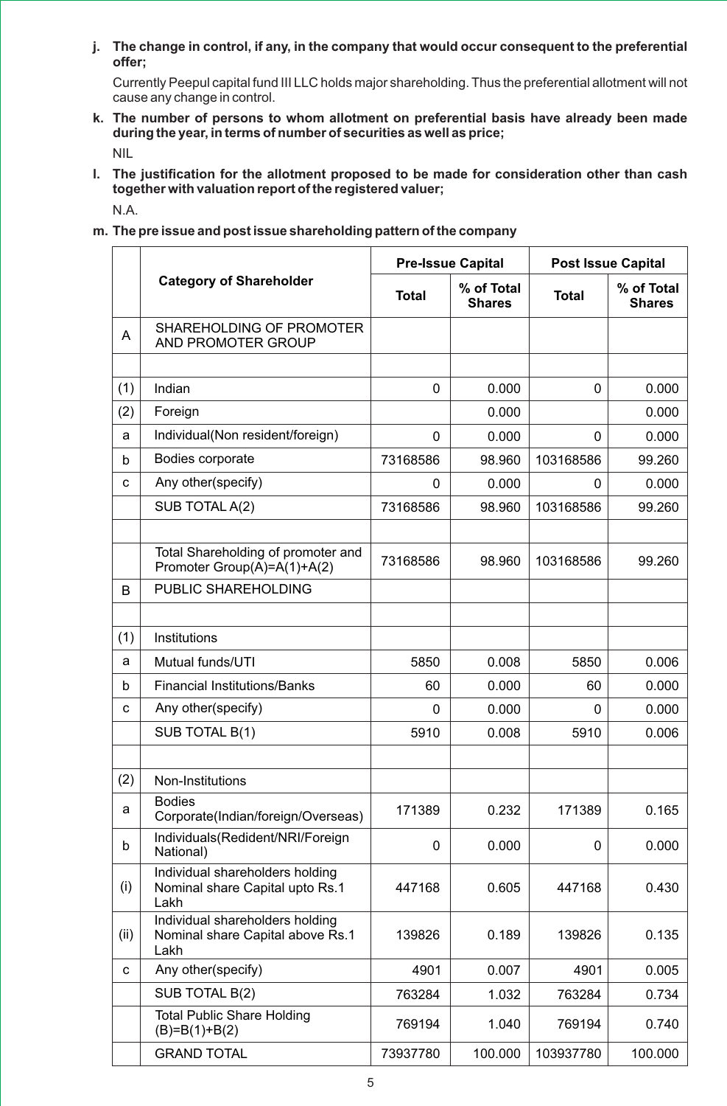**j. The change in control, if any, in the company that would occur consequent to the preferential offer;**

Currently Peepul capital fund III LLC holds major shareholding. Thus the preferential allotment will not cause any change in control.

- **k. The number of persons to whom allotment on preferential basis have already been made during the year, in terms of number of securities as well as price;** NIL
- **l. The justification for the allotment proposed to be made for consideration other than cash together with valuation report of the registered valuer;** N.A.
- **m. The pre issue and post issue shareholding pattern of the company**

|      |                                                                             | <b>Pre-Issue Capital</b> |                             | <b>Post Issue Capital</b> |                             |
|------|-----------------------------------------------------------------------------|--------------------------|-----------------------------|---------------------------|-----------------------------|
|      | <b>Category of Shareholder</b>                                              | <b>Total</b>             | % of Total<br><b>Shares</b> | <b>Total</b>              | % of Total<br><b>Shares</b> |
| A    | SHAREHOLDING OF PROMOTER<br>AND PROMOTER GROUP                              |                          |                             |                           |                             |
|      |                                                                             |                          |                             |                           |                             |
| (1)  | Indian                                                                      | 0                        | 0.000                       | $\Omega$                  | 0.000                       |
| (2)  | Foreign                                                                     |                          | 0.000                       |                           | 0.000                       |
| a    | Individual(Non resident/foreign)                                            | $\mathbf 0$              | 0.000                       | 0                         | 0.000                       |
| b    | Bodies corporate                                                            | 73168586                 | 98.960                      | 103168586                 | 99.260                      |
| C    | Any other(specify)                                                          | 0                        | 0.000                       | 0                         | 0.000                       |
|      | SUB TOTAL A(2)                                                              | 73168586                 | 98.960                      | 103168586                 | 99.260                      |
|      |                                                                             |                          |                             |                           |                             |
|      | Total Shareholding of promoter and<br>Promoter Group(A)=A(1)+A(2)           | 73168586                 | 98.960                      | 103168586                 | 99.260                      |
| B    | PUBLIC SHAREHOLDING                                                         |                          |                             |                           |                             |
|      |                                                                             |                          |                             |                           |                             |
| (1)  | Institutions                                                                |                          |                             |                           |                             |
| a    | Mutual funds/UTI                                                            | 5850                     | 0.008                       | 5850                      | 0.006                       |
| b    | <b>Financial Institutions/Banks</b>                                         | 60                       | 0.000                       | 60                        | 0.000                       |
| с    | Any other(specify)                                                          | 0                        | 0.000                       | 0                         | 0.000                       |
|      | SUB TOTAL B(1)                                                              | 5910                     | 0.008                       | 5910                      | 0.006                       |
|      |                                                                             |                          |                             |                           |                             |
| (2)  | Non-Institutions                                                            |                          |                             |                           |                             |
| a    | <b>Bodies</b><br>Corporate(Indian/foreign/Overseas)                         | 171389                   | 0.232                       | 171389                    | 0.165                       |
| b    | Individuals(Redident/NRI/Foreign<br>National)                               | 0                        | 0.000                       | 0                         | 0.000                       |
| (i)  | Individual shareholders holding<br>Nominal share Capital upto Rs.1<br>Lakh  | 447168                   | 0.605                       | 447168                    | 0.430                       |
| (ii) | Individual shareholders holding<br>Nominal share Capital above Rs.1<br>Lakh | 139826                   | 0.189                       | 139826                    | 0.135                       |
| с    | Any other(specify)                                                          | 4901                     | 0.007                       | 4901                      | 0.005                       |
|      | SUB TOTAL B(2)                                                              | 763284                   | 1.032                       | 763284                    | 0.734                       |
|      | <b>Total Public Share Holding</b><br>$(B)=B(1)+B(2)$                        | 769194                   | 1.040                       | 769194                    | 0.740                       |
|      | <b>GRAND TOTAL</b>                                                          | 73937780                 | 100.000                     | 103937780                 | 100.000                     |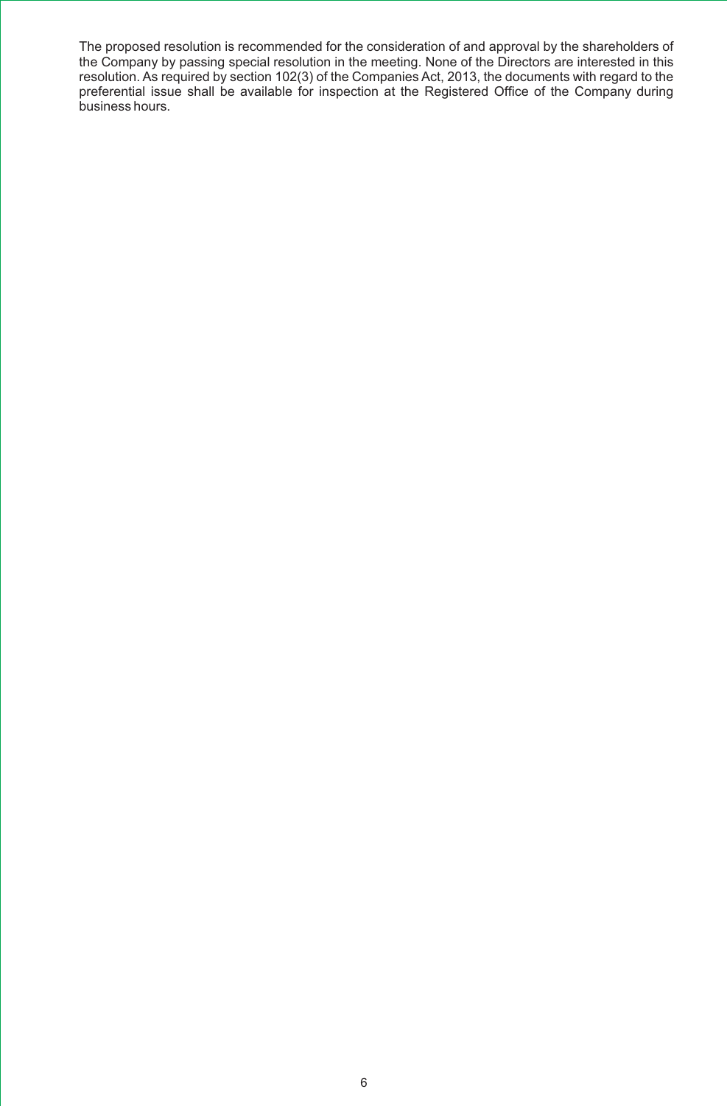The proposed resolution is recommended for the consideration of and approval by the shareholders of the Company by passing special resolution in the meeting. None of the Directors are interested in this resolution. As required by section 102(3) of the Companies Act, 2013, the documents with regard to the preferential issue shall be available for inspection at the Registered Office of the Company during business hours.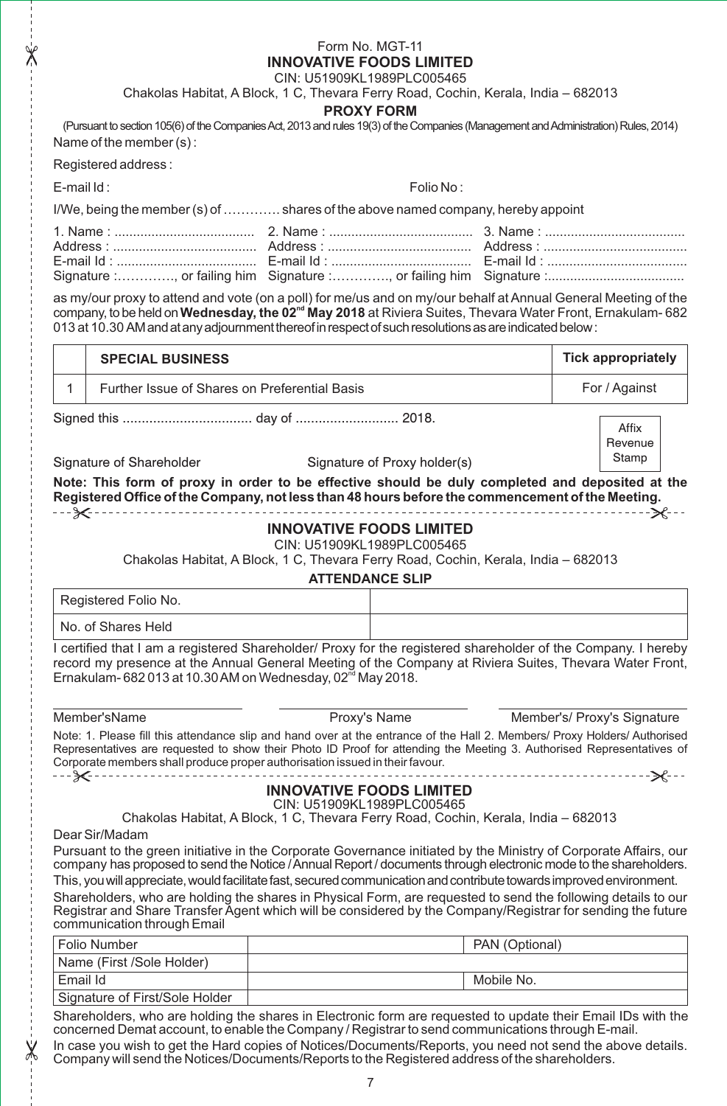#### Form No. MGT-11 **INNOVATIVE FOODS LIMITED**

CIN: U51909KL1989PLC005465

Chakolas Habitat, A Block, 1 C, Thevara Ferry Road, Cochin, Kerala, India – 682013

#### **PROXY FORM**

(Pursuant to section 105(6) of the Companies Act, 2013 and rules 19(3) of the Companies (Management and Administration) Rules, 2014) Name of the member (s) :

Registered address :

E-mail Id : Folio No : Folio No : Folio No : Folio No : Folio No : Folio No : Folio No : Folio No : Folio No : Folio No : Folio No : Folio No : Folio No : Folio No : Folio No : Folio No : Folio No : Folio No : Folio No : F

I/We, being the member (s) of …………. shares of the above named company, hereby appoint

as my/our proxy to attend and vote (on a poll) for me/us and on my/our behalf at Annual General Meeting of the **nd** company, to be held on**Wednesday, the 02 May 2018** at Riviera Suites, Thevara Water Front, Ernakulam- 682 013 at 10.30 AMandatanyadjournmentthereofinrespectofsuchresolutionsasareindicatedbelow:

| <b>SPECIAL BUSINESS</b>                       | Tick appropriately |
|-----------------------------------------------|--------------------|
| Further Issue of Shares on Preferential Basis | For / Against      |
|                                               |                    |

Signature of Shareholder Signature of Proxy holder(s)

**Note: This form of proxy in order to be effective should be duly completed and deposited at the Registered Office of the Company, not less than 48 hours before the commencement of the Meeting.** --------

#### **INNOVATIVE FOODS LIMITED**

CIN: U51909KL1989PLC005465

Chakolas Habitat, A Block, 1 C, Thevara Ferry Road, Cochin, Kerala, India – 682013

#### **ATTENDANCE SLIP**

Registered Folio No.

No. of Shares Held

I certified that I am a registered Shareholder/ Proxy for the registered shareholder of the Company. I hereby record my presence at the Annual General Meeting of the Company at Riviera Suites, Thevara Water Front, Ernakulam- 682 013 at 10.30 AM on Wednesday, 02 $^{\text{nd}}$  May 2018.

Member'sName Proxy's Name Member's/ Proxy's Signature

**Revenue** Stamp

Note: 1. Please fill this attendance slip and hand over at the entrance of the Hall 2. Members/ Proxy Holders/ Authorised Representatives are requested to show their Photo ID Proof for attending the Meeting 3. Authorised Representatives of Corporate members shall produce proper authorisation issued in their favour.

- - - <del>≫</del>< - -

## **INNOVATIVE FOODS LIMITED**

CIN: U51909KL1989PLC005465

Chakolas Habitat, A Block, 1 C, Thevara Ferry Road, Cochin, Kerala, India – 682013

Dear Sir/Madam

Pursuant to the green initiative in the Corporate Governance initiated by the Ministry of Corporate Affairs, our company has proposed to send the Notice /Annual Report / documents through electronic mode to the shareholders. This, you will appreciate, would facilitate fast, secured communication and contribute towards improved environment.

Shareholders, who are holding the shares in Physical Form, are requested to send the following details to our Registrar and Share Transfer Agent which will be considered by the Company/Registrar for sending the future communication through Email

| l Folio Number                 | PAN (Optional) |
|--------------------------------|----------------|
| Name (First /Sole Holder)      |                |
| Email Id                       | Mobile No.     |
| Signature of First/Sole Holder |                |

Shareholders, who are holding the shares in Electronic form are requested to update their Email IDs with the concerned Demat account, to enable the Company / Registrar to send communications through E-mail.

In case you wish to get the Hard copies of Notices/Documents/Reports, you need not send the above details. Company will send the Notices/Documents/Reports to the Registered address of the shareholders.